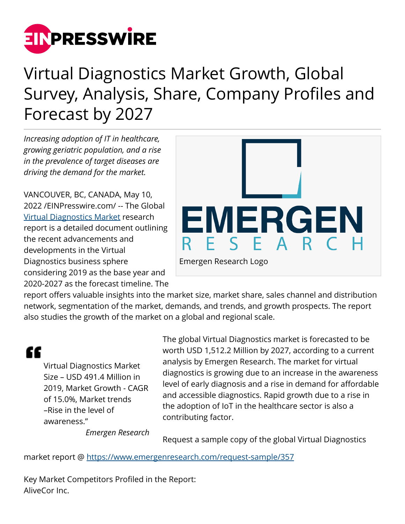

## Virtual Diagnostics Market Growth, Global Survey, Analysis, Share, Company Profiles and Forecast by 2027

*Increasing adoption of IT in healthcare, growing geriatric population, and a rise in the prevalence of target diseases are driving the demand for the market.* 

VANCOUVER, BC, CANADA, May 10, 2022 /[EINPresswire.com](http://www.einpresswire.com)/ -- The Global [Virtual Diagnostics Market](https://www.emergenresearch.com/industry-report/virtual-diagnostics-market) research report is a detailed document outlining the recent advancements and developments in the Virtual Diagnostics business sphere considering 2019 as the base year and 2020-2027 as the forecast timeline. The



report offers valuable insights into the market size, market share, sales channel and distribution network, segmentation of the market, demands, and trends, and growth prospects. The report also studies the growth of the market on a global and regional scale.

"

Virtual Diagnostics Market Size – USD 491.4 Million in 2019, Market Growth - CAGR of 15.0%, Market trends –Rise in the level of awareness."

The global Virtual Diagnostics market is forecasted to be worth USD 1,512.2 Million by 2027, according to a current analysis by Emergen Research. The market for virtual diagnostics is growing due to an increase in the awareness level of early diagnosis and a rise in demand for affordable and accessible diagnostics. Rapid growth due to a rise in the adoption of IoT in the healthcare sector is also a contributing factor.

*Emergen Research*

Request a sample copy of the global Virtual Diagnostics

market report @ <https://www.emergenresearch.com/request-sample/357>

Key Market Competitors Profiled in the Report: AliveCor Inc.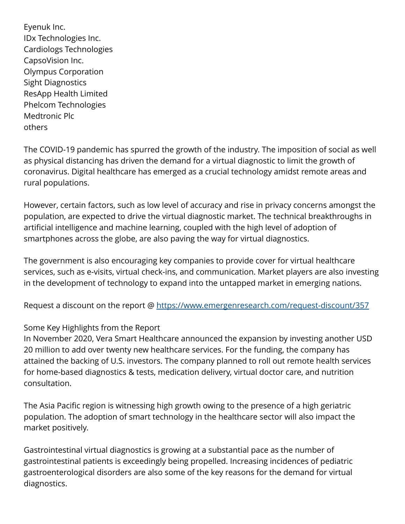Eyenuk Inc. IDx Technologies Inc. Cardiologs Technologies CapsoVision Inc. Olympus Corporation Sight Diagnostics ResApp Health Limited Phelcom Technologies Medtronic Plc others

The COVID-19 pandemic has spurred the growth of the industry. The imposition of social as well as physical distancing has driven the demand for a virtual diagnostic to limit the growth of coronavirus. Digital healthcare has emerged as a crucial technology amidst remote areas and rural populations.

However, certain factors, such as low level of accuracy and rise in privacy concerns amongst the population, are expected to drive the virtual diagnostic market. The technical breakthroughs in artificial intelligence and machine learning, coupled with the high level of adoption of smartphones across the globe, are also paving the way for virtual diagnostics.

The government is also encouraging key companies to provide cover for virtual healthcare services, such as e-visits, virtual check-ins, and communication. Market players are also investing in the development of technology to expand into the untapped market in emerging nations.

Request a discount on the report @ <https://www.emergenresearch.com/request-discount/357>

## Some Key Highlights from the Report

In November 2020, Vera Smart Healthcare announced the expansion by investing another USD 20 million to add over twenty new healthcare services. For the funding, the company has attained the backing of U.S. investors. The company planned to roll out remote health services for home-based diagnostics & tests, medication delivery, virtual doctor care, and nutrition consultation.

The Asia Pacific region is witnessing high growth owing to the presence of a high geriatric population. The adoption of smart technology in the healthcare sector will also impact the market positively.

Gastrointestinal virtual diagnostics is growing at a substantial pace as the number of gastrointestinal patients is exceedingly being propelled. Increasing incidences of pediatric gastroenterological disorders are also some of the key reasons for the demand for virtual diagnostics.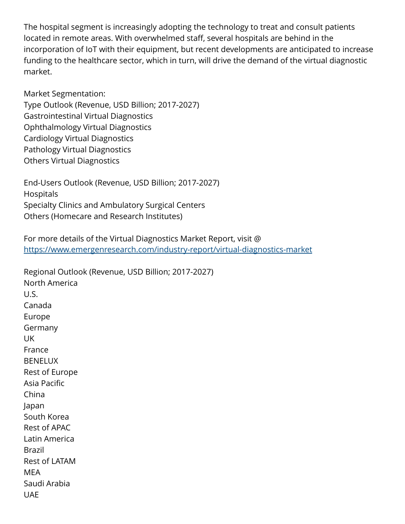The hospital segment is increasingly adopting the technology to treat and consult patients located in remote areas. With overwhelmed staff, several hospitals are behind in the incorporation of IoT with their equipment, but recent developments are anticipated to increase funding to the healthcare sector, which in turn, will drive the demand of the virtual diagnostic market.

Market Segmentation: Type Outlook (Revenue, USD Billion; 2017-2027) Gastrointestinal Virtual Diagnostics Ophthalmology Virtual Diagnostics Cardiology Virtual Diagnostics Pathology Virtual Diagnostics Others Virtual Diagnostics

End-Users Outlook (Revenue, USD Billion; 2017-2027) Hospitals Specialty Clinics and Ambulatory Surgical Centers Others (Homecare and Research Institutes)

For more details of the Virtual Diagnostics Market Report, visit @ <https://www.emergenresearch.com/industry-report/virtual-diagnostics-market>

Regional Outlook (Revenue, USD Billion; 2017-2027) North America U.S. Canada Europe Germany UK France **BENELUX** Rest of Europe Asia Pacific China Japan South Korea Rest of APAC Latin America Brazil Rest of LATAM MEA Saudi Arabia UAE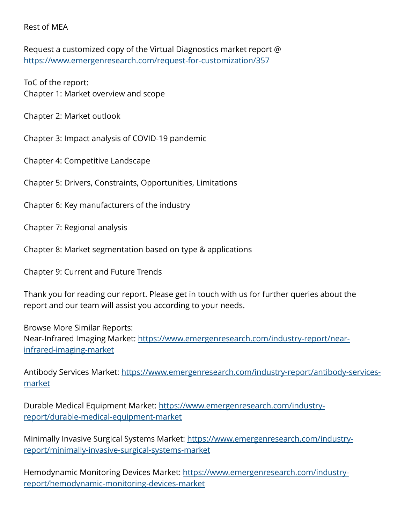Rest of MEA

Request a customized copy of the Virtual Diagnostics market report @ <https://www.emergenresearch.com/request-for-customization/357>

ToC of the report: Chapter 1: Market overview and scope

Chapter 2: Market outlook

Chapter 3: Impact analysis of COVID-19 pandemic

Chapter 4: Competitive Landscape

Chapter 5: Drivers, Constraints, Opportunities, Limitations

Chapter 6: Key manufacturers of the industry

Chapter 7: Regional analysis

Chapter 8: Market segmentation based on type & applications

Chapter 9: Current and Future Trends

Thank you for reading our report. Please get in touch with us for further queries about the report and our team will assist you according to your needs.

Browse More Similar Reports: Near-Infrared Imaging Market: [https://www.emergenresearch.com/industry-report/near](https://www.emergenresearch.com/industry-report/near-infrared-imaging-market)[infrared-imaging-market](https://www.emergenresearch.com/industry-report/near-infrared-imaging-market)

Antibody Services Market: [https://www.emergenresearch.com/industry-report/antibody-services](https://www.emergenresearch.com/industry-report/antibody-services-market)[market](https://www.emergenresearch.com/industry-report/antibody-services-market)

Durable Medical Equipment Market: [https://www.emergenresearch.com/industry](https://www.emergenresearch.com/industry-report/durable-medical-equipment-market)[report/durable-medical-equipment-market](https://www.emergenresearch.com/industry-report/durable-medical-equipment-market)

Minimally Invasive Surgical Systems Market: [https://www.emergenresearch.com/industry](https://www.emergenresearch.com/industry-report/minimally-invasive-surgical-systems-market)[report/minimally-invasive-surgical-systems-market](https://www.emergenresearch.com/industry-report/minimally-invasive-surgical-systems-market)

Hemodynamic Monitoring Devices Market: [https://www.emergenresearch.com/industry](https://www.emergenresearch.com/industry-report/hemodynamic-monitoring-devices-market)[report/hemodynamic-monitoring-devices-market](https://www.emergenresearch.com/industry-report/hemodynamic-monitoring-devices-market)